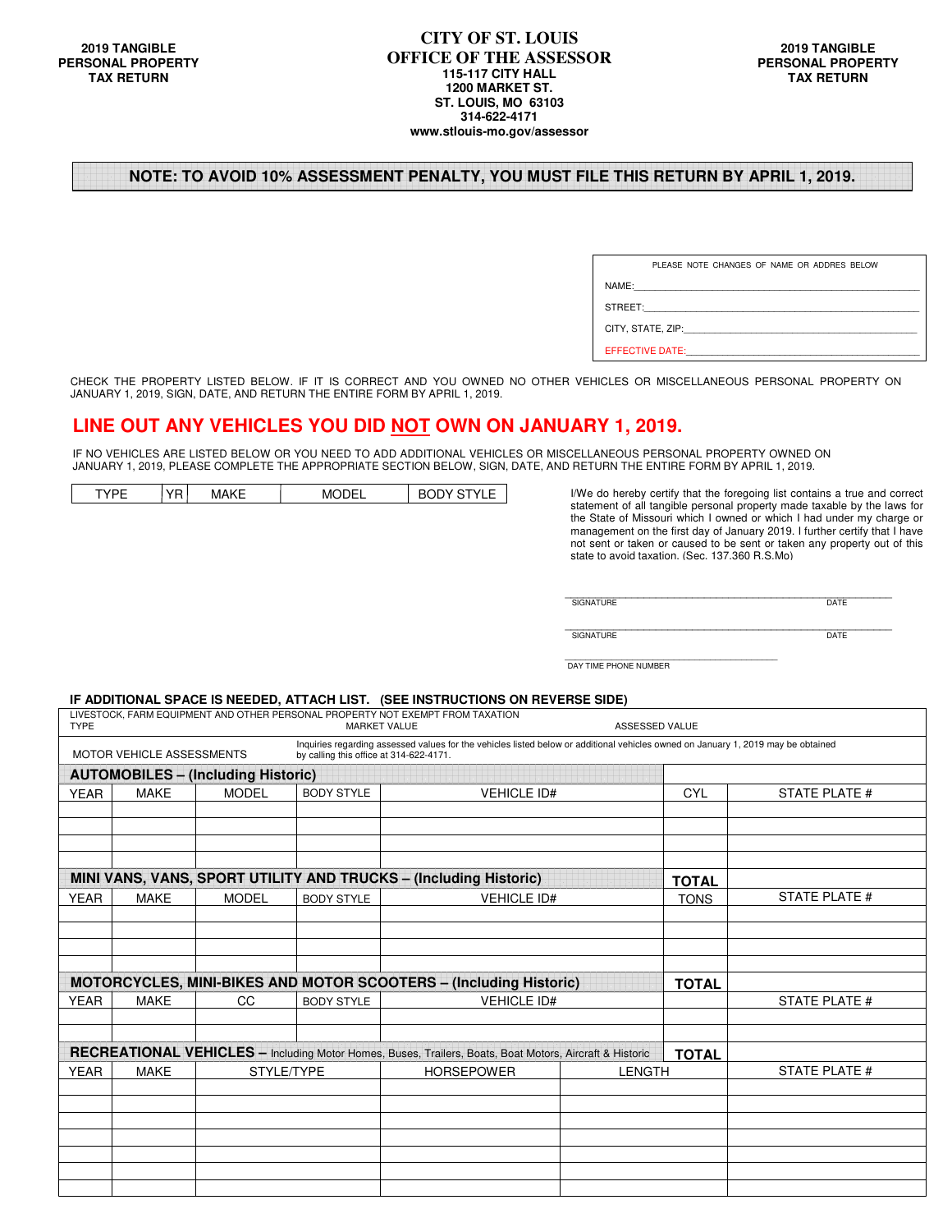### **NOTE: TO AVOID 10% ASSESSMENT PENALTY, YOU MUST FILE THIS RETURN BY APRIL 1, 2019.**

|                                                                                                                                                                                                                                | PLEASE NOTE CHANGES OF NAME OR ADDRES BELOW |  |  |  |  |
|--------------------------------------------------------------------------------------------------------------------------------------------------------------------------------------------------------------------------------|---------------------------------------------|--|--|--|--|
| NAME:                                                                                                                                                                                                                          |                                             |  |  |  |  |
| STREET: The contract of the contract of the contract of the contract of the contract of the contract of the contract of the contract of the contract of the contract of the contract of the contract of the contract of the co |                                             |  |  |  |  |
| CITY, STATE, ZIP: THE STATE OF STATE OF STATE OF STATE OF STATE OF STATE OF STATE OF STATE OF STATE OF STATE O                                                                                                                 |                                             |  |  |  |  |
| <b>EFFECTIVE DATE:</b>                                                                                                                                                                                                         |                                             |  |  |  |  |

CHECK THE PROPERTY LISTED BELOW. IF IT IS CORRECT AND YOU OWNED NO OTHER VEHICLES OR MISCELLANEOUS PERSONAL PROPERTY ON JANUARY 1, 2019, SIGN, DATE, AND RETURN THE ENTIRE FORM BY APRIL 1, 2019.

### **LINE OUT ANY VEHICLES YOU DID NOT OWN ON JANUARY 1, 2019.**

IF NO VEHICLES ARE LISTED BELOW OR YOU NEED TO ADD ADDITIONAL VEHICLES OR MISCELLANEOUS PERSONAL PROPERTY OWNED ON JANUARY 1, 2019, PLEASE COMPLETE THE APPROPRIATE SECTION BELOW, SIGN, DATE, AND RETURN THE ENTIRE FORM BY APRIL 1, 2019.

|  |  |  |  | . . |  |
|--|--|--|--|-----|--|
|--|--|--|--|-----|--|

I/We do hereby certify that the foregoing list contains a true and correct statement of all tangible personal property made taxable by the laws for the State of Missouri which I owned or which I had under my charge or management on the first day of January 2019. I further certify that I have not sent or taken or caused to be sent or taken any property out of this state to avoid taxation. (Sec. 137.360 R.S.Mo)

| $-1$      | $\sim$ |
|-----------|--------|
| 216.      | ⊤∆1    |
| ъ.        | .      |
| .         | -      |
| --------- |        |

| <b>TIIDE</b><br>SIGN<br>.<br>____ | <b>DATE</b><br>---- |
|-----------------------------------|---------------------|

DAY TIME PHONE NUMBER

#### **IF ADDITIONAL SPACE IS NEEDED, ATTACH LIST. (SEE INSTRUCTIONS ON REVERSE SIDE)**

| <b>TYPE</b>                                                                                                                                                                                               |             |                                           | <b>MARKET VALUE</b> | LIVESTOCK, FARM EQUIPMENT AND OTHER PERSONAL PROPERTY NOT EXEMPT FROM TAXATION                          | <b>ASSESSED VALUE</b> |              |               |
|-----------------------------------------------------------------------------------------------------------------------------------------------------------------------------------------------------------|-------------|-------------------------------------------|---------------------|---------------------------------------------------------------------------------------------------------|-----------------------|--------------|---------------|
| Inquiries regarding assessed values for the vehicles listed below or additional vehicles owned on January 1, 2019 may be obtained<br>MOTOR VEHICLE ASSESSMENTS<br>by calling this office at 314-622-4171. |             |                                           |                     |                                                                                                         |                       |              |               |
|                                                                                                                                                                                                           |             | <b>AUTOMOBILES - (Including Historic)</b> |                     |                                                                                                         |                       |              |               |
| <b>YEAR</b>                                                                                                                                                                                               | <b>MAKE</b> | <b>MODEL</b>                              | <b>BODY STYLE</b>   | <b>VEHICLE ID#</b>                                                                                      |                       | <b>CYL</b>   | STATE PLATE # |
|                                                                                                                                                                                                           |             |                                           |                     |                                                                                                         |                       |              |               |
|                                                                                                                                                                                                           |             |                                           |                     |                                                                                                         |                       |              |               |
|                                                                                                                                                                                                           |             |                                           |                     |                                                                                                         |                       |              |               |
|                                                                                                                                                                                                           |             |                                           |                     |                                                                                                         |                       |              |               |
|                                                                                                                                                                                                           |             |                                           |                     | MINI VANS, VANS, SPORT UTILITY AND TRUCKS - (Including Historic)                                        |                       | <b>TOTAL</b> |               |
| <b>YEAR</b>                                                                                                                                                                                               | <b>MAKE</b> | <b>MODEL</b>                              | <b>BODY STYLE</b>   | <b>VEHICLE ID#</b>                                                                                      |                       | <b>TONS</b>  | STATE PLATE # |
|                                                                                                                                                                                                           |             |                                           |                     |                                                                                                         |                       |              |               |
|                                                                                                                                                                                                           |             |                                           |                     |                                                                                                         |                       |              |               |
|                                                                                                                                                                                                           |             |                                           |                     |                                                                                                         |                       |              |               |
|                                                                                                                                                                                                           |             |                                           |                     | <b>MOTORCYCLES, MINI-BIKES AND MOTOR SCOOTERS - (Including Historic)</b>                                |                       | <b>TOTAL</b> |               |
| <b>YEAR</b>                                                                                                                                                                                               | <b>MAKE</b> | CC.                                       | <b>BODY STYLE</b>   | <b>VEHICLE ID#</b>                                                                                      |                       |              | STATE PLATE # |
|                                                                                                                                                                                                           |             |                                           |                     |                                                                                                         |                       |              |               |
|                                                                                                                                                                                                           |             |                                           |                     |                                                                                                         |                       |              |               |
|                                                                                                                                                                                                           |             |                                           |                     | RECREATIONAL VEHICLES - Including Motor Homes, Buses, Trailers, Boats, Boat Motors, Aircraft & Historic |                       | <b>TOTAL</b> |               |
| <b>YEAR</b><br><b>MAKE</b><br>STYLE/TYPE                                                                                                                                                                  |             | <b>HORSEPOWER</b><br><b>LENGTH</b>        |                     |                                                                                                         | STATE PLATE #         |              |               |
|                                                                                                                                                                                                           |             |                                           |                     |                                                                                                         |                       |              |               |
|                                                                                                                                                                                                           |             |                                           |                     |                                                                                                         |                       |              |               |
|                                                                                                                                                                                                           |             |                                           |                     |                                                                                                         |                       |              |               |
|                                                                                                                                                                                                           |             |                                           |                     |                                                                                                         |                       |              |               |
|                                                                                                                                                                                                           |             |                                           |                     |                                                                                                         |                       |              |               |
|                                                                                                                                                                                                           |             |                                           |                     |                                                                                                         |                       |              |               |
|                                                                                                                                                                                                           |             |                                           |                     |                                                                                                         |                       |              |               |